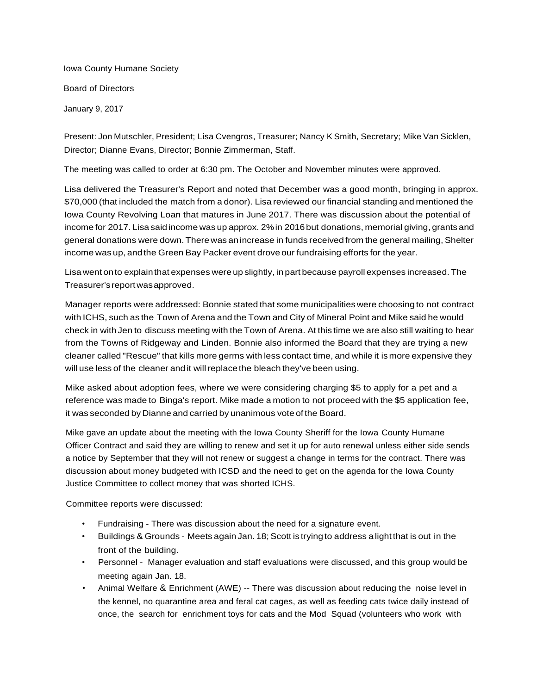Iowa County Humane Society Board of Directors January 9, 2017

Present: Jon Mutschler, President; Lisa Cvengros, Treasurer; Nancy K Smith, Secretary; Mike Van Sicklen, Director; Dianne Evans, Director; Bonnie Zimmerman, Staff.

The meeting was called to order at 6:30 pm. The October and November minutes were approved.

Lisa delivered the Treasurer's Report and noted that December was a good month, bringing in approx. \$70,000 (that included the match from a donor). Lisa reviewed our financial standing and mentioned the Iowa County Revolving Loan that matures in June 2017. There was discussion about the potential of income for 2017. Lisa saidincome was up approx. 2%in 2016but donations, memorial giving, grants and general donations were down.There was an increase in funds received from the general mailing, Shelter income was up, andthe Green Bay Packer event drove our fundraising efforts for the year.

Lisa went onto explainthat expenses were up slightly, in part because payroll expenses increased. The Treasurer'sreportwasapproved.

Manager reports were addressed: Bonnie stated that some municipalitieswere choosing to not contract with ICHS, such as the Town of Arena and the Town and City of Mineral Point and Mike said he would check in with Jen to discuss meeting with the Town of Arena. At this time we are also still waiting to hear from the Towns of Ridgeway and Linden. Bonnie also informed the Board that they are trying a new cleaner called "Rescue" that kills more germs with less contact time, and while it is more expensive they will use less of the cleaner and it will replace the bleach they've been using.

Mike asked about adoption fees, where we were considering charging \$5 to apply for a pet and a reference was made to Binga's report. Mike made a motion to not proceed with the \$5 application fee, it was seconded by Dianne and carried by unanimous vote of the Board.

Mike gave an update about the meeting with the Iowa County Sheriff for the Iowa County Humane Officer Contract and said they are willing to renew and set it up for auto renewal unless either side sends a notice by September that they will not renew or suggest a change in terms for the contract. There was discussion about money budgeted with ICSD and the need to get on the agenda for the Iowa County Justice Committee to collect money that was shorted ICHS.

Committee reports were discussed:

- Fundraising There was discussion about the need for a signature event.
- Buildings & Grounds Meets again Jan. 18; Scott is trying to address a light that is out in the front of the building.
- Personnel Manager evaluation and staff evaluations were discussed, and this group would be meeting again Jan. 18.
- Animal Welfare & Enrichment (AWE) -- There was discussion about reducing the noise level in the kennel, no quarantine area and feral cat cages, as well as feeding cats twice daily instead of once, the search for enrichment toys for cats and the Mod Squad (volunteers who work with